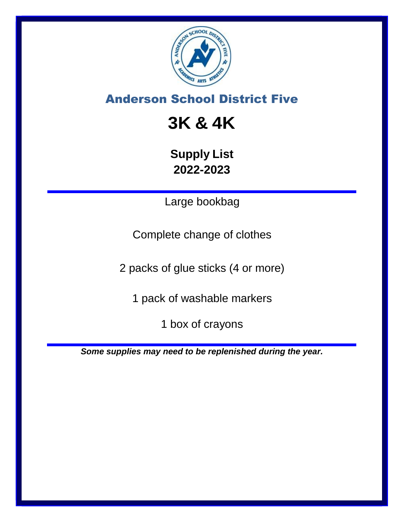

# **3K & 4K**

**Supply List 2022-2023**

Large bookbag

Complete change of clothes

2 packs of glue sticks (4 or more)

1 pack of washable markers

1 box of crayons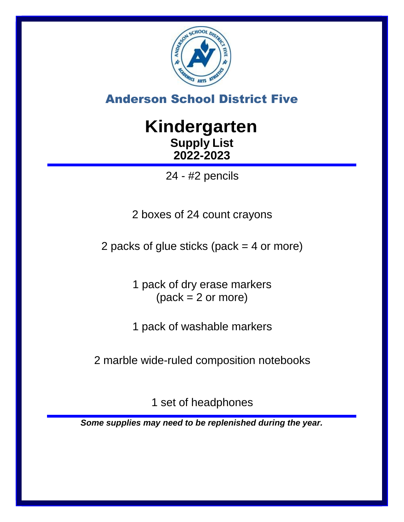

# **Kindergarten Supply List 2022-2023**

24 - #2 pencils

2 boxes of 24 count crayons

2 packs of glue sticks (pack = 4 or more)

1 pack of dry erase markers  $(pack = 2 or more)$ 

1 pack of washable markers

2 marble wide-ruled composition notebooks

1 set of headphones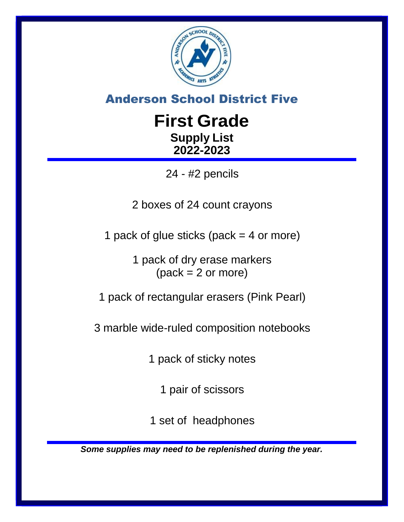

# **First Grade Supply List 2022-2023**

24 - #2 pencils

2 boxes of 24 count crayons

1 pack of glue sticks (pack  $=$  4 or more)

1 pack of dry erase markers  $(pack = 2 or more)$ 

1 pack of rectangular erasers (Pink Pearl)

3 marble wide-ruled composition notebooks

1 pack of sticky notes

1 pair of scissors

1 set of headphones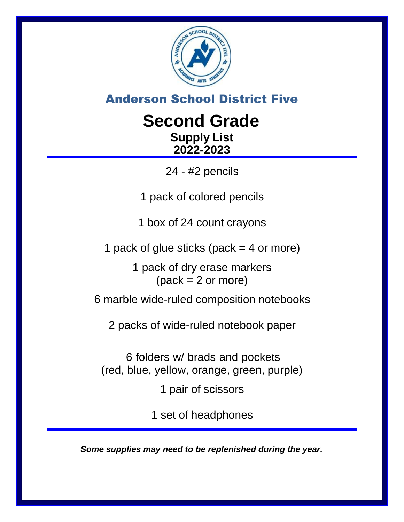

# **Second Grade Supply List 2022-2023**

24 - #2 pencils

1 pack of colored pencils

1 box of 24 count crayons

1 pack of glue sticks (pack  $=$  4 or more)

1 pack of dry erase markers  $(pack = 2 or more)$ 

6 marble wide-ruled composition notebooks

2 packs of wide-ruled notebook paper

6 folders w/ brads and pockets (red, blue, yellow, orange, green, purple)

1 pair of scissors

1 set of headphones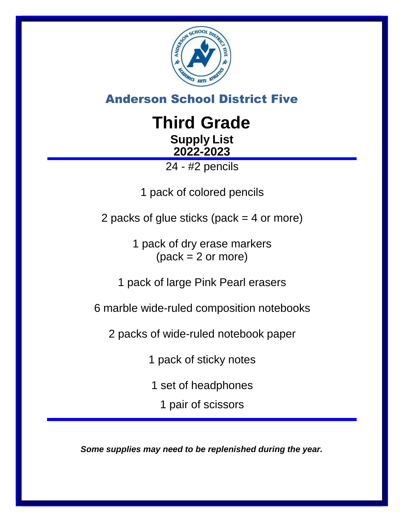

# **Third Grade Supply List 2022-2023**

24 - #2 pencils

1 pack of colored pencils

2 packs of glue sticks (pack = 4 or more)

1 pack of dry erase markers  $(pack = 2 or more)$ 

1 pack of large Pink Pearl erasers

6 marble wide-ruled composition notebooks

2 packs of wide-ruled notebook paper

1 pack of sticky notes

1 set of headphones

1 pair of scissors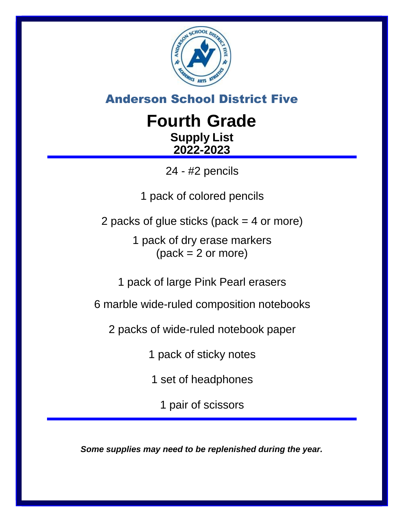

# **Fourth Grade Supply List 2022-2023**

24 - #2 pencils

1 pack of colored pencils

2 packs of glue sticks (pack = 4 or more)

1 pack of dry erase markers  $(pack = 2 or more)$ 

1 pack of large Pink Pearl erasers

6 marble wide-ruled composition notebooks

2 packs of wide-ruled notebook paper

1 pack of sticky notes

1 set of headphones

1 pair of scissors